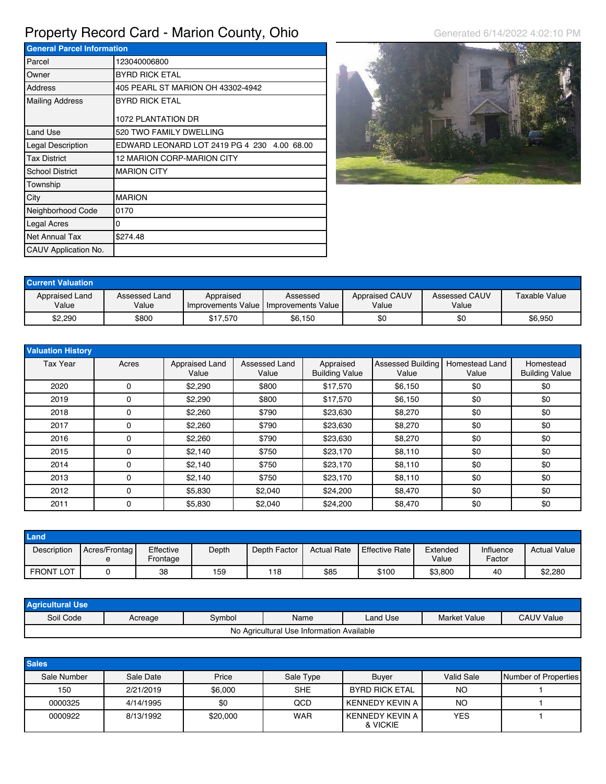## Property Record Card - Marion County, Ohio Generated 6/14/2022 4:02:10 PM

| <b>General Parcel Information</b> |                                             |  |  |  |  |
|-----------------------------------|---------------------------------------------|--|--|--|--|
| Parcel                            | 123040006800                                |  |  |  |  |
| Owner                             | <b>BYRD RICK ETAL</b>                       |  |  |  |  |
| Address                           | 405 PEARL ST MARION OH 43302-4942           |  |  |  |  |
| <b>Mailing Address</b>            | <b>BYRD RICK ETAL</b>                       |  |  |  |  |
|                                   | 1072 PLANTATION DR                          |  |  |  |  |
| Land Use                          | 520 TWO FAMILY DWELLING                     |  |  |  |  |
| Legal Description                 | EDWARD LEONARD LOT 2419 PG 4 230 4.00 68.00 |  |  |  |  |
| <b>Tax District</b>               | 12 MARION CORP-MARION CITY                  |  |  |  |  |
| <b>School District</b>            | <b>MARION CITY</b>                          |  |  |  |  |
| Township                          |                                             |  |  |  |  |
| City                              | <b>MARION</b>                               |  |  |  |  |
| Neighborhood Code                 | 0170                                        |  |  |  |  |
| Legal Acres                       | 0                                           |  |  |  |  |
| Net Annual Tax                    | \$274.48                                    |  |  |  |  |
| CAUV Application No.              |                                             |  |  |  |  |



| <b>Current Valuation</b> |                        |           |                                                         |                                |                        |               |
|--------------------------|------------------------|-----------|---------------------------------------------------------|--------------------------------|------------------------|---------------|
| Appraised Land<br>Value  | Assessed Land<br>Value | Appraised | Assessed<br>I Improvements Value I Improvements Value I | <b>Appraised CAUV</b><br>Value | Assessed CAUV<br>Value | Taxable Value |
| \$2,290                  | \$800                  | \$17.570  | \$6,150                                                 | \$0                            | \$0                    | \$6,950       |

| <b>Valuation History</b> |          |                         |                        |                                    |                            |                         |                                    |
|--------------------------|----------|-------------------------|------------------------|------------------------------------|----------------------------|-------------------------|------------------------------------|
| <b>Tax Year</b>          | Acres    | Appraised Land<br>Value | Assessed Land<br>Value | Appraised<br><b>Building Value</b> | Assessed Building<br>Value | Homestead Land<br>Value | Homestead<br><b>Building Value</b> |
| 2020                     | 0        | \$2,290                 | \$800                  | \$17,570                           | \$6,150                    | \$0                     | \$0                                |
| 2019                     | 0        | \$2,290                 | \$800                  | \$17,570                           | \$6,150                    | \$0                     | \$0                                |
| 2018                     | 0        | \$2,260                 | \$790                  | \$23,630                           | \$8,270                    | \$0                     | \$0                                |
| 2017                     | $\Omega$ | \$2,260                 | \$790                  | \$23,630                           | \$8,270                    | \$0                     | \$0                                |
| 2016                     | 0        | \$2,260                 | \$790                  | \$23,630                           | \$8,270                    | \$0                     | \$0                                |
| 2015                     | 0        | \$2.140                 | \$750                  | \$23,170                           | \$8,110                    | \$0                     | \$0                                |
| 2014                     | 0        | \$2.140                 | \$750                  | \$23,170                           | \$8,110                    | \$0                     | \$0                                |
| 2013                     | 0        | \$2,140                 | \$750                  | \$23,170                           | \$8,110                    | \$0                     | \$0                                |
| 2012                     | 0        | \$5,830                 | \$2,040                | \$24,200                           | \$8,470                    | \$0                     | \$0                                |
| 2011                     | 0        | \$5,830                 | \$2,040                | \$24,200                           | \$8,470                    | \$0                     | \$0                                |

| Land             |                          |                       |       |              |                    |                        |                   |                     |                     |
|------------------|--------------------------|-----------------------|-------|--------------|--------------------|------------------------|-------------------|---------------------|---------------------|
| Description      | Acres/Frontag<br>$\circ$ | Effective<br>Frontage | Depth | Depth Factor | <b>Actual Rate</b> | <b>LEffective Rate</b> | Extended<br>Value | Influence<br>Factor | <b>Actual Value</b> |
| <b>FRONT LOT</b> |                          | 38                    | 159   | 118          | \$85               | \$100                  | \$3,800           | 40                  | \$2,280             |

| <b>Agricultural Use</b>                   |         |        |      |          |                     |                   |  |  |
|-------------------------------------------|---------|--------|------|----------|---------------------|-------------------|--|--|
| Soil Code                                 | Acreage | Svmbol | Name | Land Use | <b>Market Value</b> | <b>CAUV Value</b> |  |  |
| No Agricultural Use Information Available |         |        |      |          |                     |                   |  |  |

| <b>Sales</b> |           |          |            |                               |            |                      |
|--------------|-----------|----------|------------|-------------------------------|------------|----------------------|
| Sale Number  | Sale Date | Price    | Sale Type  | <b>Buyer</b>                  | Valid Sale | Number of Properties |
| 150          | 2/21/2019 | \$6,000  | <b>SHE</b> | BYRD RICK ETAL                | NO         |                      |
| 0000325      | 4/14/1995 | \$0      | QCD        | l KENNEDY KEVIN A             | NO         |                      |
| 0000922      | 8/13/1992 | \$20,000 | <b>WAR</b> | I KENNEDY KEVIN A<br>& VICKIE | <b>YES</b> |                      |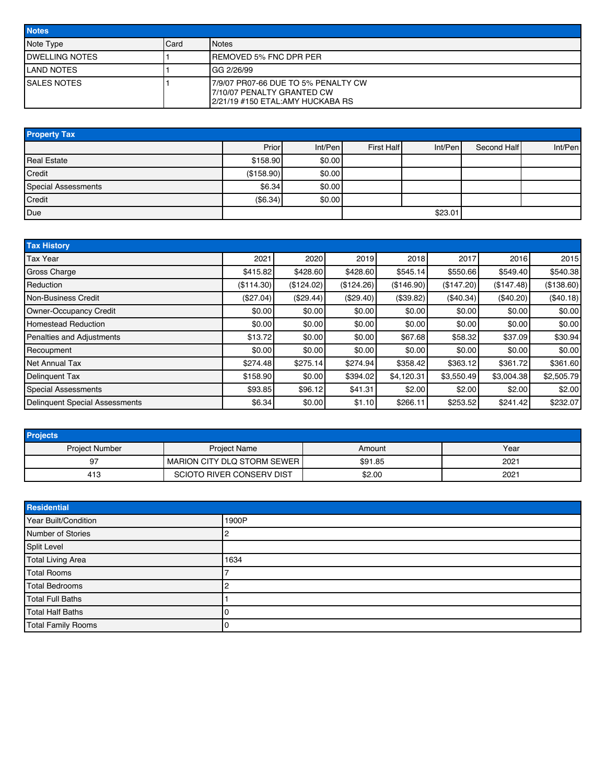| <b>Notes</b>           |      |                                                                                                         |  |  |
|------------------------|------|---------------------------------------------------------------------------------------------------------|--|--|
| Note Type              | Card | <b>I</b> Notes                                                                                          |  |  |
| <b>IDWELLING NOTES</b> |      | IREMOVED 5% FNC DPR PER                                                                                 |  |  |
| <b>ILAND NOTES</b>     |      | IGG 2/26/99                                                                                             |  |  |
| <b>ISALES NOTES</b>    |      | 17/9/07 PR07-66 DUE TO 5% PENALTY CW<br>17/10/07 PENALTY GRANTED CW<br>2/21/19 #150 ETAL:AMY HUCKABA RS |  |  |

| <b>Property Tax</b>        |            |         |            |         |             |         |  |  |  |
|----------------------------|------------|---------|------------|---------|-------------|---------|--|--|--|
|                            | Prior      | Int/Pen | First Half | Int/Pen | Second Half | Int/Pen |  |  |  |
| <b>Real Estate</b>         | \$158.90   | \$0.00  |            |         |             |         |  |  |  |
| Credit                     | (\$158.90) | \$0.00  |            |         |             |         |  |  |  |
| <b>Special Assessments</b> | \$6.34]    | \$0.00  |            |         |             |         |  |  |  |
| Credit                     | (\$6.34)   | \$0.00  |            |         |             |         |  |  |  |
| Due                        |            |         |            | \$23.01 |             |         |  |  |  |

| <b>Tax History</b>                    |            |            |            |            |            |            |            |
|---------------------------------------|------------|------------|------------|------------|------------|------------|------------|
| <b>Tax Year</b>                       | 2021       | 2020       | 2019       | 2018       | 2017       | 2016       | 2015       |
| <b>Gross Charge</b>                   | \$415.82   | \$428.60   | \$428.60   | \$545.14   | \$550.66   | \$549.40   | \$540.38   |
| Reduction                             | (\$114.30) | (\$124.02) | (\$124.26) | (\$146.90) | (\$147.20) | (\$147.48) | (\$138.60) |
| Non-Business Credit                   | (\$27.04)  | (\$29.44)  | (\$29.40)  | (\$39.82)  | (\$40.34)  | (\$40.20)  | (\$40.18)  |
| Owner-Occupancy Credit                | \$0.00     | \$0.00     | \$0.00     | \$0.00     | \$0.00     | \$0.00     | \$0.00     |
| <b>Homestead Reduction</b>            | \$0.00     | \$0.00     | \$0.00     | \$0.00     | \$0.00     | \$0.00     | \$0.00     |
| <b>Penalties and Adjustments</b>      | \$13.72    | \$0.00     | \$0.00     | \$67.68    | \$58.32    | \$37.09    | \$30.94    |
| Recoupment                            | \$0.00     | \$0.00     | \$0.00     | \$0.00     | \$0.00     | \$0.00     | \$0.00     |
| <b>Net Annual Tax</b>                 | \$274.48   | \$275.14   | \$274.94   | \$358.42   | \$363.12   | \$361.72   | \$361.60   |
| <b>Delinquent Tax</b>                 | \$158.90   | \$0.00     | \$394.02   | \$4,120.31 | \$3,550.49 | \$3,004.38 | \$2,505.79 |
| <b>Special Assessments</b>            | \$93.85    | \$96.12    | \$41.31    | \$2.00     | \$2.00     | \$2.00     | \$2.00     |
| <b>Delinquent Special Assessments</b> | \$6.34     | \$0.00     | \$1.10     | \$266.11   | \$253.52   | \$241.42   | \$232.07   |

| <b>Projects</b>       |                             |         |      |  |  |  |  |  |
|-----------------------|-----------------------------|---------|------|--|--|--|--|--|
| <b>Project Number</b> | <b>Project Name</b>         |         | Year |  |  |  |  |  |
| 97                    | MARION CITY DLQ STORM SEWER | \$91.85 | 2021 |  |  |  |  |  |
| 413                   | SCIOTO RIVER CONSERV DIST   | \$2.00  | 2021 |  |  |  |  |  |

| Residential               |       |  |  |  |  |
|---------------------------|-------|--|--|--|--|
| Year Built/Condition      | 1900P |  |  |  |  |
| Number of Stories         |       |  |  |  |  |
| Split Level               |       |  |  |  |  |
| <b>Total Living Area</b>  | 1634  |  |  |  |  |
| <b>Total Rooms</b>        |       |  |  |  |  |
| <b>Total Bedrooms</b>     |       |  |  |  |  |
| <b>Total Full Baths</b>   |       |  |  |  |  |
| <b>Total Half Baths</b>   |       |  |  |  |  |
| <b>Total Family Rooms</b> |       |  |  |  |  |